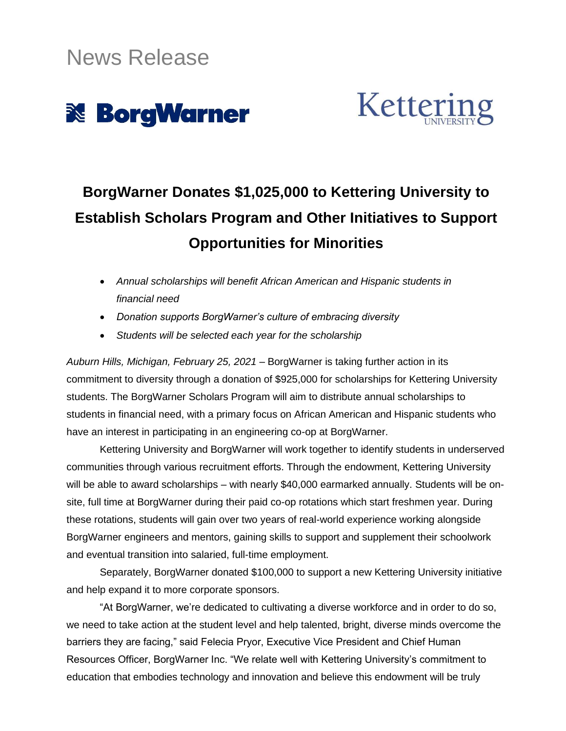



# **BorgWarner Donates \$1,025,000 to Kettering University to Establish Scholars Program and Other Initiatives to Support Opportunities for Minorities**

- *Annual scholarships will benefit African American and Hispanic students in financial need*
- *Donation supports BorgWarner's culture of embracing diversity*
- *Students will be selected each year for the scholarship*

*Auburn Hills, Michigan, February 25, 2021* – BorgWarner is taking further action in its commitment to diversity through a donation of \$925,000 for scholarships for Kettering University students. The BorgWarner Scholars Program will aim to distribute annual scholarships to students in financial need, with a primary focus on African American and Hispanic students who have an interest in participating in an engineering co-op at BorgWarner.

Kettering University and BorgWarner will work together to identify students in underserved communities through various recruitment efforts. Through the endowment, Kettering University will be able to award scholarships – with nearly \$40,000 earmarked annually. Students will be onsite, full time at BorgWarner during their paid co-op rotations which start freshmen year. During these rotations, students will gain over two years of real-world experience working alongside BorgWarner engineers and mentors, gaining skills to support and supplement their schoolwork and eventual transition into salaried, full-time employment.

Separately, BorgWarner donated \$100,000 to support a new Kettering University initiative and help expand it to more corporate sponsors.

"At BorgWarner, we're dedicated to cultivating a diverse workforce and in order to do so, we need to take action at the student level and help talented, bright, diverse minds overcome the barriers they are facing," said Felecia Pryor, Executive Vice President and Chief Human Resources Officer, BorgWarner Inc. "We relate well with Kettering University's commitment to education that embodies technology and innovation and believe this endowment will be truly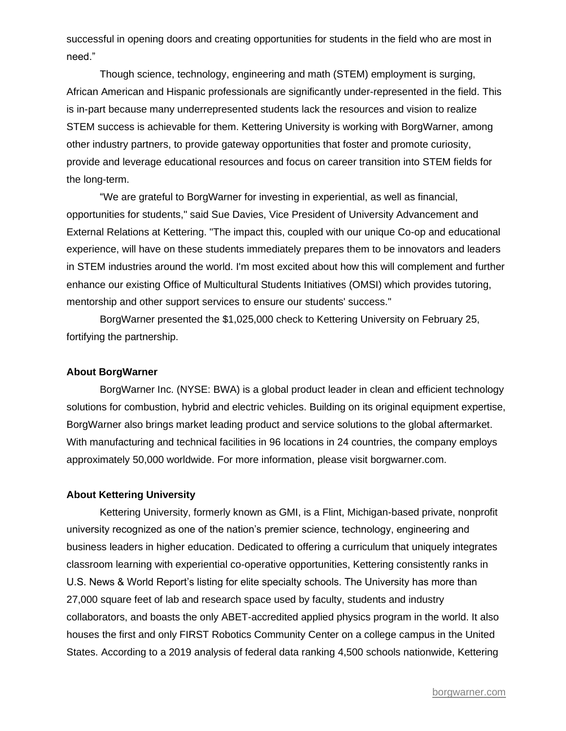successful in opening doors and creating opportunities for students in the field who are most in need."

Though science, technology, engineering and math (STEM) employment is surging, African American and Hispanic professionals are significantly under-represented in the field. This is in-part because many underrepresented students lack the resources and vision to realize STEM success is achievable for them. Kettering University is working with BorgWarner, among other industry partners, to provide gateway opportunities that foster and promote curiosity, provide and leverage educational resources and focus on career transition into STEM fields for the long-term.

"We are grateful to BorgWarner for investing in experiential, as well as financial, opportunities for students," said Sue Davies, Vice President of University Advancement and External Relations at Kettering. "The impact this, coupled with our unique Co-op and educational experience, will have on these students immediately prepares them to be innovators and leaders in STEM industries around the world. I'm most excited about how this will complement and further enhance our existing Office of Multicultural Students Initiatives (OMSI) which provides tutoring, mentorship and other support services to ensure our students' success."

BorgWarner presented the \$1,025,000 check to Kettering University on February 25, fortifying the partnership.

#### **About BorgWarner**

BorgWarner Inc. (NYSE: BWA) is a global product leader in clean and efficient technology solutions for combustion, hybrid and electric vehicles. Building on its original equipment expertise, BorgWarner also brings market leading product and service solutions to the global aftermarket. With manufacturing and technical facilities in 96 locations in 24 countries, the company employs approximately 50,000 worldwide. For more information, please visit borgwarner.com.

#### **About Kettering University**

Kettering University, formerly known as GMI, is a Flint, Michigan-based private, nonprofit university recognized as one of the nation's premier science, technology, engineering and business leaders in higher education. Dedicated to offering a curriculum that uniquely integrates classroom learning with experiential co-operative opportunities, Kettering consistently ranks in U.S. News & World Report's listing for elite specialty schools. The University has more than 27,000 square feet of lab and research space used by faculty, students and industry collaborators, and boasts the only ABET-accredited applied physics program in the world. It also houses the first and only FIRST Robotics Community Center on a college campus in the United States. According to a 2019 analysis of federal data ranking 4,500 schools nationwide, Kettering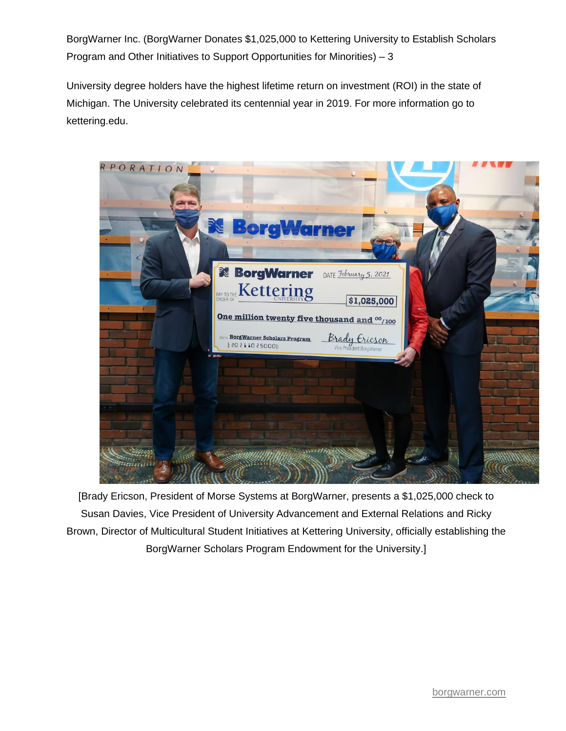BorgWarner Inc. (BorgWarner Donates \$1,025,000 to Kettering University to Establish Scholars Program and Other Initiatives to Support Opportunities for Minorities) – 3

University degree holders have the highest lifetime return on investment (ROI) in the state of Michigan. The University celebrated its centennial year in 2019. For more information go to [kettering.edu.](http://kettering.edu/)



[Brady Ericson, President of Morse Systems at BorgWarner, presents a \$1,025,000 check to Susan Davies, Vice President of University Advancement and External Relations and Ricky Brown, Director of Multicultural Student Initiatives at Kettering University, officially establishing the BorgWarner Scholars Program Endowment for the University.]